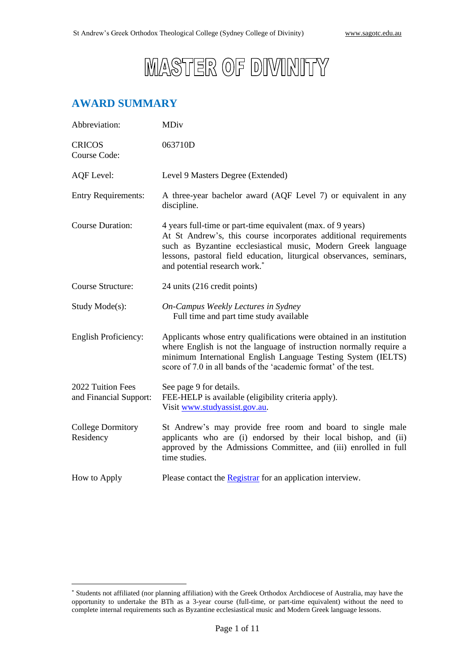

# **AWARD SUMMARY**

| Abbreviation:                               | <b>MDiv</b>                                                                                                                                                                                                                                                                                                           |
|---------------------------------------------|-----------------------------------------------------------------------------------------------------------------------------------------------------------------------------------------------------------------------------------------------------------------------------------------------------------------------|
| <b>CRICOS</b><br>Course Code:               | 063710D                                                                                                                                                                                                                                                                                                               |
| <b>AQF</b> Level:                           | Level 9 Masters Degree (Extended)                                                                                                                                                                                                                                                                                     |
| <b>Entry Requirements:</b>                  | A three-year bachelor award (AQF Level 7) or equivalent in any<br>discipline.                                                                                                                                                                                                                                         |
| <b>Course Duration:</b>                     | 4 years full-time or part-time equivalent (max. of 9 years)<br>At St Andrew's, this course incorporates additional requirements<br>such as Byzantine ecclesiastical music, Modern Greek language<br>lessons, pastoral field education, liturgical observances, seminars,<br>and potential research work. <sup>*</sup> |
| Course Structure:                           | 24 units (216 credit points)                                                                                                                                                                                                                                                                                          |
| Study Mode(s):                              | On-Campus Weekly Lectures in Sydney<br>Full time and part time study available                                                                                                                                                                                                                                        |
| <b>English Proficiency:</b>                 | Applicants whose entry qualifications were obtained in an institution<br>where English is not the language of instruction normally require a<br>minimum International English Language Testing System (IELTS)<br>score of 7.0 in all bands of the 'academic format' of the test.                                      |
| 2022 Tuition Fees<br>and Financial Support: | See page 9 for details.<br>FEE-HELP is available (eligibility criteria apply).<br>Visit www.studyassist.gov.au.                                                                                                                                                                                                       |
| <b>College Dormitory</b><br>Residency       | St Andrew's may provide free room and board to single male<br>applicants who are (i) endorsed by their local bishop, and (ii)<br>approved by the Admissions Committee, and (iii) enrolled in full<br>time studies.                                                                                                    |
| How to Apply                                | Please contact the <b>Registrar</b> for an application interview.                                                                                                                                                                                                                                                     |

<sup>\*</sup> Students not affiliated (nor planning affiliation) with the Greek Orthodox Archdiocese of Australia, may have the opportunity to undertake the BTh as a 3-year course (full-time, or part-time equivalent) without the need to complete internal requirements such as Byzantine ecclesiastical music and Modern Greek language lessons.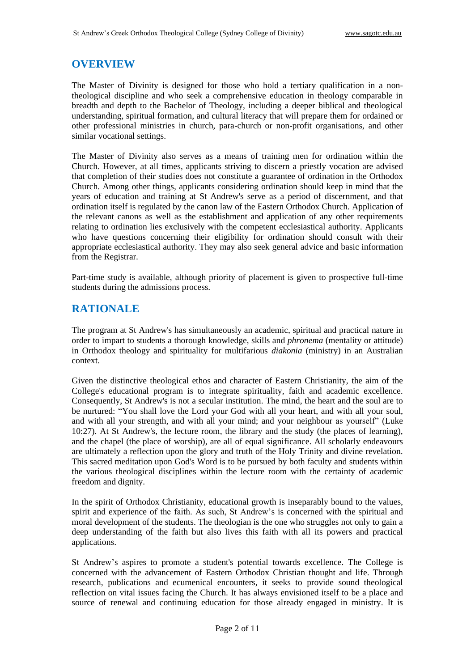#### **OVERVIEW**

The Master of Divinity is designed for those who hold a tertiary qualification in a nontheological discipline and who seek a comprehensive education in theology comparable in breadth and depth to the Bachelor of Theology, including a deeper biblical and theological understanding, spiritual formation, and cultural literacy that will prepare them for ordained or other professional ministries in church, para-church or non-profit organisations, and other similar vocational settings.

The Master of Divinity also serves as a means of training men for ordination within the Church. However, at all times, applicants striving to discern a priestly vocation are advised that completion of their studies does not constitute a guarantee of ordination in the Orthodox Church. Among other things, applicants considering ordination should keep in mind that the years of education and training at St Andrew's serve as a period of discernment, and that ordination itself is regulated by the canon law of the Eastern Orthodox Church. Application of the relevant canons as well as the establishment and application of any other requirements relating to ordination lies exclusively with the competent ecclesiastical authority. Applicants who have questions concerning their eligibility for ordination should consult with their appropriate ecclesiastical authority. They may also seek general advice and basic information from the Registrar.

Part-time study is available, although priority of placement is given to prospective full-time students during the admissions process.

#### **RATIONALE**

The program at St Andrew's has simultaneously an academic, spiritual and practical nature in order to impart to students a thorough knowledge, skills and *phronema* (mentality or attitude) in Orthodox theology and spirituality for multifarious *diakonia* (ministry) in an Australian context.

Given the distinctive theological ethos and character of Eastern Christianity, the aim of the College's educational program is to integrate spirituality, faith and academic excellence. Consequently, St Andrew's is not a secular institution. The mind, the heart and the soul are to be nurtured: "You shall love the Lord your God with all your heart, and with all your soul, and with all your strength, and with all your mind; and your neighbour as yourself" (Luke 10:27). At St Andrew's, the lecture room, the library and the study (the places of learning), and the chapel (the place of worship), are all of equal significance. All scholarly endeavours are ultimately a reflection upon the glory and truth of the Holy Trinity and divine revelation. This sacred meditation upon God's Word is to be pursued by both faculty and students within the various theological disciplines within the lecture room with the certainty of academic freedom and dignity.

In the spirit of Orthodox Christianity, educational growth is inseparably bound to the values, spirit and experience of the faith. As such, St Andrew's is concerned with the spiritual and moral development of the students. The theologian is the one who struggles not only to gain a deep understanding of the faith but also lives this faith with all its powers and practical applications.

St Andrew's aspires to promote a student's potential towards excellence. The College is concerned with the advancement of Eastern Orthodox Christian thought and life. Through research, publications and ecumenical encounters, it seeks to provide sound theological reflection on vital issues facing the Church. It has always envisioned itself to be a place and source of renewal and continuing education for those already engaged in ministry. It is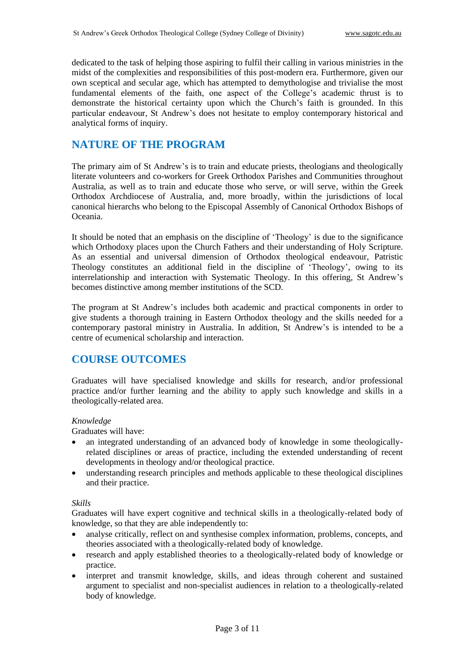dedicated to the task of helping those aspiring to fulfil their calling in various ministries in the midst of the complexities and responsibilities of this post-modern era. Furthermore, given our own sceptical and secular age, which has attempted to demythologise and trivialise the most fundamental elements of the faith, one aspect of the College's academic thrust is to demonstrate the historical certainty upon which the Church's faith is grounded. In this particular endeavour, St Andrew's does not hesitate to employ contemporary historical and analytical forms of inquiry.

## **NATURE OF THE PROGRAM**

The primary aim of St Andrew's is to train and educate priests, theologians and theologically literate volunteers and co-workers for Greek Orthodox Parishes and Communities throughout Australia, as well as to train and educate those who serve, or will serve, within the Greek Orthodox Archdiocese of Australia, and, more broadly, within the jurisdictions of local canonical hierarchs who belong to the Episcopal Assembly of Canonical Orthodox Bishops of Oceania.

It should be noted that an emphasis on the discipline of 'Theology' is due to the significance which Orthodoxy places upon the Church Fathers and their understanding of Holy Scripture. As an essential and universal dimension of Orthodox theological endeavour, Patristic Theology constitutes an additional field in the discipline of 'Theology', owing to its interrelationship and interaction with Systematic Theology. In this offering, St Andrew's becomes distinctive among member institutions of the SCD.

The program at St Andrew's includes both academic and practical components in order to give students a thorough training in Eastern Orthodox theology and the skills needed for a contemporary pastoral ministry in Australia. In addition, St Andrew's is intended to be a centre of ecumenical scholarship and interaction.

## **COURSE OUTCOMES**

Graduates will have specialised knowledge and skills for research, and/or professional practice and/or further learning and the ability to apply such knowledge and skills in a theologically-related area.

#### *Knowledge*

Graduates will have:

- an integrated understanding of an advanced body of knowledge in some theologicallyrelated disciplines or areas of practice, including the extended understanding of recent developments in theology and/or theological practice.
- understanding research principles and methods applicable to these theological disciplines and their practice.

#### *Skills*

Graduates will have expert cognitive and technical skills in a theologically-related body of knowledge, so that they are able independently to:

- analyse critically, reflect on and synthesise complex information, problems, concepts, and theories associated with a theologically-related body of knowledge.
- research and apply established theories to a theologically-related body of knowledge or practice.
- interpret and transmit knowledge, skills, and ideas through coherent and sustained argument to specialist and non-specialist audiences in relation to a theologically-related body of knowledge.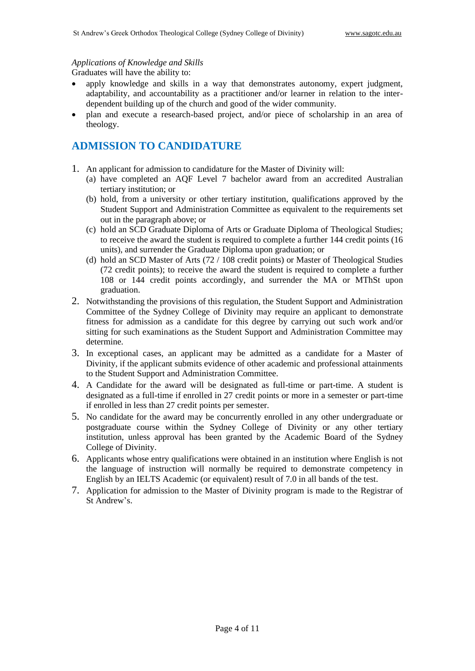#### *Applications of Knowledge and Skills*

Graduates will have the ability to:

- apply knowledge and skills in a way that demonstrates autonomy, expert judgment, adaptability, and accountability as a practitioner and/or learner in relation to the interdependent building up of the church and good of the wider community.
- plan and execute a research-based project, and/or piece of scholarship in an area of theology.

### **ADMISSION TO CANDIDATURE**

- 1. An applicant for admission to candidature for the Master of Divinity will:
	- (a) have completed an AQF Level 7 bachelor award from an accredited Australian tertiary institution; or
	- (b) hold, from a university or other tertiary institution, qualifications approved by the Student Support and Administration Committee as equivalent to the requirements set out in the paragraph above; or
	- (c) hold an SCD Graduate Diploma of Arts or Graduate Diploma of Theological Studies; to receive the award the student is required to complete a further 144 credit points (16 units), and surrender the Graduate Diploma upon graduation; or
	- (d) hold an SCD Master of Arts (72 / 108 credit points) or Master of Theological Studies (72 credit points); to receive the award the student is required to complete a further 108 or 144 credit points accordingly, and surrender the MA or MThSt upon graduation.
- 2. Notwithstanding the provisions of this regulation, the Student Support and Administration Committee of the Sydney College of Divinity may require an applicant to demonstrate fitness for admission as a candidate for this degree by carrying out such work and/or sitting for such examinations as the Student Support and Administration Committee may determine.
- 3. In exceptional cases, an applicant may be admitted as a candidate for a Master of Divinity, if the applicant submits evidence of other academic and professional attainments to the Student Support and Administration Committee.
- 4. A Candidate for the award will be designated as full-time or part-time. A student is designated as a full-time if enrolled in 27 credit points or more in a semester or part-time if enrolled in less than 27 credit points per semester.
- 5. No candidate for the award may be concurrently enrolled in any other undergraduate or postgraduate course within the Sydney College of Divinity or any other tertiary institution, unless approval has been granted by the Academic Board of the Sydney College of Divinity.
- 6. Applicants whose entry qualifications were obtained in an institution where English is not the language of instruction will normally be required to demonstrate competency in English by an IELTS Academic (or equivalent) result of 7.0 in all bands of the test.
- 7. Application for admission to the Master of Divinity program is made to the Registrar of St Andrew's.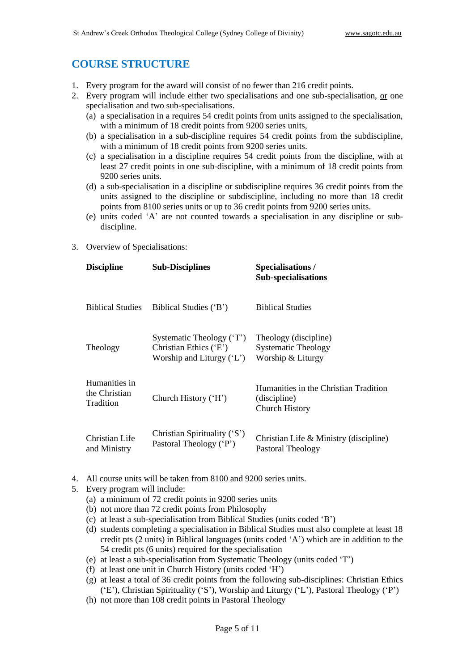## **COURSE STRUCTURE**

- 1. Every program for the award will consist of no fewer than 216 credit points.
- 2. Every program will include either two specialisations and one sub-specialisation, or one specialisation and two sub-specialisations.
	- (a) a specialisation in a requires 54 credit points from units assigned to the specialisation, with a minimum of 18 credit points from 9200 series units,
	- (b) a specialisation in a sub-discipline requires 54 credit points from the subdiscipline, with a minimum of 18 credit points from 9200 series units.
	- (c) a specialisation in a discipline requires 54 credit points from the discipline, with at least 27 credit points in one sub-discipline, with a minimum of 18 credit points from 9200 series units.
	- (d) a sub-specialisation in a discipline or subdiscipline requires 36 credit points from the units assigned to the discipline or subdiscipline, including no more than 18 credit points from 8100 series units or up to 36 credit points from 9200 series units.
	- (e) units coded 'A' are not counted towards a specialisation in any discipline or subdiscipline.
- 3. Overview of Specialisations:

| <b>Discipline</b>                           | <b>Sub-Disciplines</b>                                                            | <b>Specialisations/</b><br><b>Sub-specialisations</b>                          |
|---------------------------------------------|-----------------------------------------------------------------------------------|--------------------------------------------------------------------------------|
| <b>Biblical Studies</b>                     | Biblical Studies ('B')                                                            | <b>Biblical Studies</b>                                                        |
| Theology                                    | Systematic Theology ('T')<br>Christian Ethics ('E')<br>Worship and Liturgy $(L')$ | Theology (discipline)<br><b>Systematic Theology</b><br>Worship & Liturgy       |
| Humanities in<br>the Christian<br>Tradition | Church History ('H')                                                              | Humanities in the Christian Tradition<br>(discipline)<br><b>Church History</b> |
| Christian Life<br>and Ministry              | Christian Spirituality ('S')<br>Pastoral Theology ('P')                           | Christian Life & Ministry (discipline)<br>Pastoral Theology                    |

- 4. All course units will be taken from 8100 and 9200 series units.
- 5. Every program will include:
	- (a) a minimum of 72 credit points in 9200 series units
	- (b) not more than 72 credit points from Philosophy
	- (c) at least a sub-specialisation from Biblical Studies (units coded 'B')
	- (d) students completing a specialisation in Biblical Studies must also complete at least 18 credit pts (2 units) in Biblical languages (units coded 'A') which are in addition to the 54 credit pts (6 units) required for the specialisation
	- (e) at least a sub-specialisation from Systematic Theology (units coded 'T')
	- (f) at least one unit in Church History (units coded 'H')
	- (g) at least a total of 36 credit points from the following sub-disciplines: Christian Ethics ('E'), Christian Spirituality ('S'), Worship and Liturgy ('L'), Pastoral Theology ('P')
	- (h) not more than 108 credit points in Pastoral Theology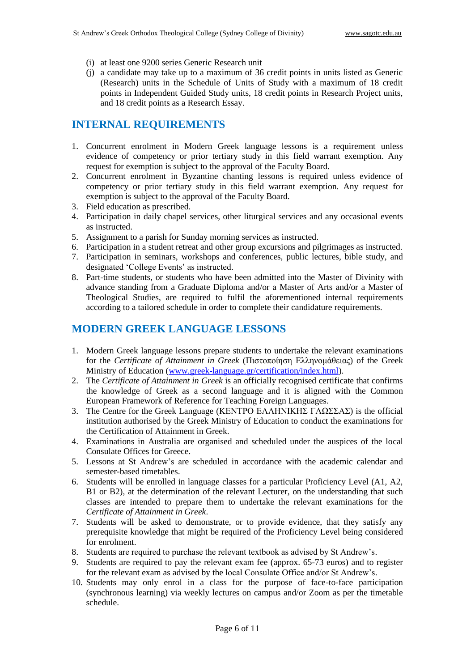- (i) at least one 9200 series Generic Research unit
- (j) a candidate may take up to a maximum of 36 credit points in units listed as Generic (Research) units in the Schedule of Units of Study with a maximum of 18 credit points in Independent Guided Study units, 18 credit points in Research Project units, and 18 credit points as a Research Essay.

### **INTERNAL REQUIREMENTS**

- 1. Concurrent enrolment in Modern Greek language lessons is a requirement unless evidence of competency or prior tertiary study in this field warrant exemption. Any request for exemption is subject to the approval of the Faculty Board.
- 2. Concurrent enrolment in Byzantine chanting lessons is required unless evidence of competency or prior tertiary study in this field warrant exemption. Any request for exemption is subject to the approval of the Faculty Board.
- 3. Field education as prescribed.
- 4. Participation in daily chapel services, other liturgical services and any occasional events as instructed.
- 5. Assignment to a parish for Sunday morning services as instructed.
- 6. Participation in a student retreat and other group excursions and pilgrimages as instructed.
- 7. Participation in seminars, workshops and conferences, public lectures, bible study, and designated 'College Events' as instructed.
- 8. Part-time students, or students who have been admitted into the Master of Divinity with advance standing from a Graduate Diploma and/or a Master of Arts and/or a Master of Theological Studies, are required to fulfil the aforementioned internal requirements according to a tailored schedule in order to complete their candidature requirements.

## **MODERN GREEK LANGUAGE LESSONS**

- 1. Modern Greek language lessons prepare students to undertake the relevant examinations for the *Certificate of Attainment in Greek* (Πιστοποίηση Ελληνομάθειας) of the Greek Ministry of Education [\(www.greek-language.gr/certification/index.html\)](http://www.greek-language.gr/certification/index.html).
- 2. The *Certificate of Attainment in Greek* is an officially recognised certificate that confirms the knowledge of Greek as a second language and it is aligned with the Common European Framework of Reference for Teaching Foreign Languages.
- 3. The Centre for the Greek Language (ΚΕΝΤΡΟ ΕΛΛΗΝΙΚΗΣ ΓΛΩΣΣΑΣ) is the official institution authorised by the Greek Ministry of Education to conduct the examinations for the Certification of Attainment in Greek.
- 4. Examinations in Australia are organised and scheduled under the auspices of the local Consulate Offices for Greece.
- 5. Lessons at St Andrew's are scheduled in accordance with the academic calendar and semester-based timetables.
- 6. Students will be enrolled in language classes for a particular Proficiency Level (A1, A2, B1 or B2), at the determination of the relevant Lecturer, on the understanding that such classes are intended to prepare them to undertake the relevant examinations for the *Certificate of Attainment in Greek*.
- 7. Students will be asked to demonstrate, or to provide evidence, that they satisfy any prerequisite knowledge that might be required of the Proficiency Level being considered for enrolment.
- 8. Students are required to purchase the relevant textbook as advised by St Andrew's.
- 9. Students are required to pay the relevant exam fee (approx. 65-73 euros) and to register for the relevant exam as advised by the local Consulate Office and/or St Andrew's.
- 10. Students may only enrol in a class for the purpose of face-to-face participation (synchronous learning) via weekly lectures on campus and/or Zoom as per the timetable schedule.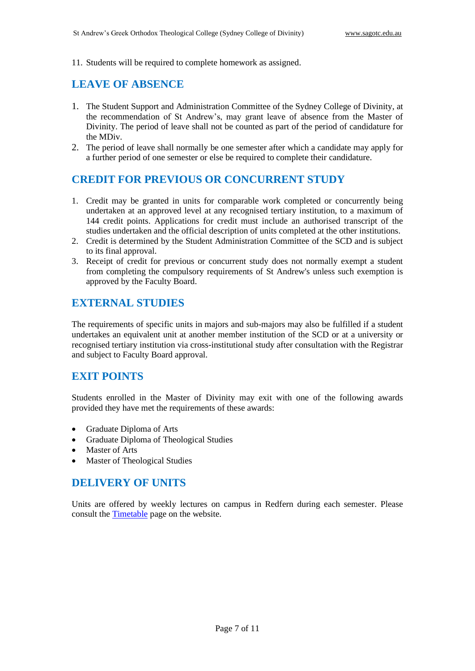11. Students will be required to complete homework as assigned.

### **LEAVE OF ABSENCE**

- 1. The Student Support and Administration Committee of the Sydney College of Divinity, at the recommendation of St Andrew's, may grant leave of absence from the Master of Divinity. The period of leave shall not be counted as part of the period of candidature for the MDiv.
- 2. The period of leave shall normally be one semester after which a candidate may apply for a further period of one semester or else be required to complete their candidature.

### **CREDIT FOR PREVIOUS OR CONCURRENT STUDY**

- 1. Credit may be granted in units for comparable work completed or concurrently being undertaken at an approved level at any recognised tertiary institution, to a maximum of 144 credit points. Applications for credit must include an authorised transcript of the studies undertaken and the official description of units completed at the other institutions.
- 2. Credit is determined by the Student Administration Committee of the SCD and is subject to its final approval.
- 3. Receipt of credit for previous or concurrent study does not normally exempt a student from completing the compulsory requirements of St Andrew's unless such exemption is approved by the Faculty Board.

### **EXTERNAL STUDIES**

The requirements of specific units in majors and sub-majors may also be fulfilled if a student undertakes an equivalent unit at another member institution of the SCD or at a university or recognised tertiary institution via cross-institutional study after consultation with the Registrar and subject to Faculty Board approval.

### **EXIT POINTS**

Students enrolled in the Master of Divinity may exit with one of the following awards provided they have met the requirements of these awards:

- Graduate Diploma of Arts
- Graduate Diploma of Theological Studies
- Master of Arts
- **Master of Theological Studies**

#### **DELIVERY OF UNITS**

Units are offered by weekly lectures on campus in Redfern during each semester. Please consult the [Timetable](http://www.sagotc.edu.au/studies/timetables) page on the website.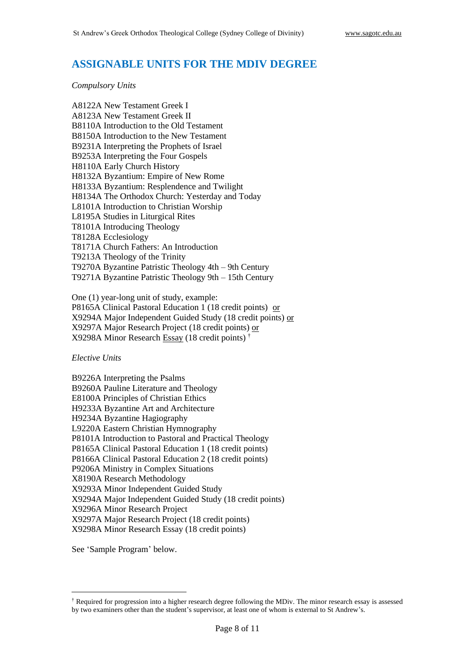#### **ASSIGNABLE UNITS FOR THE MDIV DEGREE**

#### *Compulsory Units*

A8122A New Testament Greek I A8123A New Testament Greek II B8110A Introduction to the Old Testament B8150A Introduction to the New Testament B9231A Interpreting the Prophets of Israel B9253A Interpreting the Four Gospels H8110A Early Church History H8132A Byzantium: Empire of New Rome H8133A Byzantium: Resplendence and Twilight H8134A The Orthodox Church: Yesterday and Today L8101A Introduction to Christian Worship L8195A Studies in Liturgical Rites T8101A Introducing Theology T8128A Ecclesiology T8171A Church Fathers: An Introduction T9213A Theology of the Trinity T9270A Byzantine Patristic Theology 4th – 9th Century T9271A Byzantine Patristic Theology 9th – 15th Century

One (1) year-long unit of study, example: P8165A Clinical Pastoral Education 1 (18 credit points) or X9294A Major Independent Guided Study (18 credit points) or X9297A Major Research Project (18 credit points) or X9298A Minor Research Essay (18 credit points) †

*Elective Units*

B9226A Interpreting the Psalms B9260A Pauline Literature and Theology E8100A Principles of Christian Ethics H9233A Byzantine Art and Architecture H9234A Byzantine Hagiography L9220A Eastern Christian Hymnography P8101A Introduction to Pastoral and Practical Theology P8165A Clinical Pastoral Education 1 (18 credit points) P8166A Clinical Pastoral Education 2 (18 credit points) P9206A Ministry in Complex Situations X8190A Research Methodology X9293A Minor Independent Guided Study X9294A Major Independent Guided Study (18 credit points) X9296A Minor Research Project X9297A Major Research Project (18 credit points) X9298A Minor Research Essay (18 credit points)

See 'Sample Program' below.

<sup>†</sup> Required for progression into a higher research degree following the MDiv. The minor research essay is assessed by two examiners other than the student's supervisor, at least one of whom is external to St Andrew's.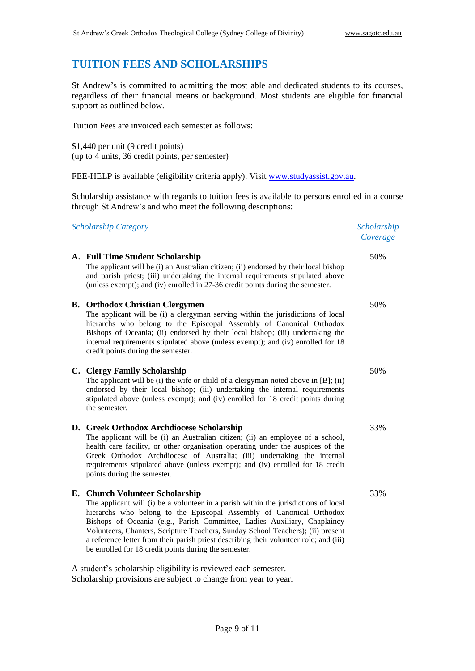### **TUITION FEES AND SCHOLARSHIPS**

St Andrew's is committed to admitting the most able and dedicated students to its courses, regardless of their financial means or background. Most students are eligible for financial support as outlined below.

Tuition Fees are invoiced each semester as follows:

\$1,440 per unit (9 credit points) (up to 4 units, 36 credit points, per semester)

FEE-HELP is available (eligibility criteria apply). Visit [www.studyassist.gov.au.](http://www.studyassist.gov.au/)

Scholarship assistance with regards to tuition fees is available to persons enrolled in a course through St Andrew's and who meet the following descriptions:

*Scholarship Category Scholarship* 

#### **A. Full Time Student Scholarship**

The applicant will be (i) an Australian citizen; (ii) endorsed by their local bishop and parish priest; (iii) undertaking the internal requirements stipulated above (unless exempt); and (iv) enrolled in 27-36 credit points during the semester.

#### **B. Orthodox Christian Clergymen**

The applicant will be (i) a clergyman serving within the jurisdictions of local hierarchs who belong to the Episcopal Assembly of Canonical Orthodox Bishops of Oceania; (ii) endorsed by their local bishop; (iii) undertaking the internal requirements stipulated above (unless exempt); and (iv) enrolled for 18 credit points during the semester.

#### **C. Clergy Family Scholarship**

The applicant will be (i) the wife or child of a clergyman noted above in [B]; (ii) endorsed by their local bishop; (iii) undertaking the internal requirements stipulated above (unless exempt); and (iv) enrolled for 18 credit points during the semester.

#### **D. Greek Orthodox Archdiocese Scholarship**

The applicant will be (i) an Australian citizen; (ii) an employee of a school, health care facility, or other organisation operating under the auspices of the Greek Orthodox Archdiocese of Australia; (iii) undertaking the internal requirements stipulated above (unless exempt); and (iv) enrolled for 18 credit points during the semester.

#### **E. Church Volunteer Scholarship**

The applicant will (i) be a volunteer in a parish within the jurisdictions of local hierarchs who belong to the Episcopal Assembly of Canonical Orthodox Bishops of Oceania (e.g., Parish Committee, Ladies Auxiliary, Chaplaincy Volunteers, Chanters, Scripture Teachers, Sunday School Teachers); (ii) present a reference letter from their parish priest describing their volunteer role; and (iii) be enrolled for 18 credit points during the semester.

A student's scholarship eligibility is reviewed each semester. Scholarship provisions are subject to change from year to year. *Coverage*

50%

50%

50%

33%

33%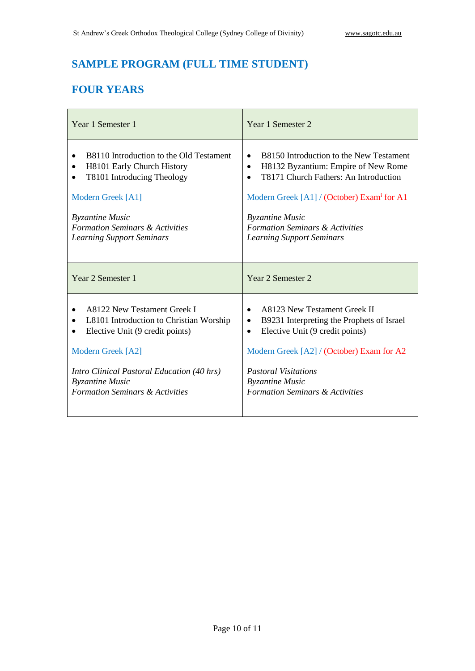# **SAMPLE PROGRAM (FULL TIME STUDENT)**

# **FOUR YEARS**

| Year 1 Semester 1                                                                                                                                                                                                                                              | Year 1 Semester 2                                                                                                                                                                                                                                                                                                       |
|----------------------------------------------------------------------------------------------------------------------------------------------------------------------------------------------------------------------------------------------------------------|-------------------------------------------------------------------------------------------------------------------------------------------------------------------------------------------------------------------------------------------------------------------------------------------------------------------------|
| B8110 Introduction to the Old Testament<br>$\bullet$<br>H8101 Early Church History<br>T8101 Introducing Theology<br>$\bullet$<br>Modern Greek [A1]<br><b>Byzantine Music</b><br><b>Formation Seminars &amp; Activities</b><br><b>Learning Support Seminars</b> | B8150 Introduction to the New Testament<br>$\bullet$<br>H8132 Byzantium: Empire of New Rome<br>$\bullet$<br>T8171 Church Fathers: An Introduction<br>$\bullet$<br>Modern Greek [A1] / (October) Exam for A1<br><b>Byzantine Music</b><br><b>Formation Seminars &amp; Activities</b><br><b>Learning Support Seminars</b> |
| Year 2 Semester 1                                                                                                                                                                                                                                              | Year 2 Semester 2                                                                                                                                                                                                                                                                                                       |
| A8122 New Testament Greek I<br>L8101 Introduction to Christian Worship<br>Elective Unit (9 credit points)<br>Modern Greek [A2]<br>Intro Clinical Pastoral Education (40 hrs)<br><b>Byzantine Music</b><br><b>Formation Seminars &amp; Activities</b>           | A8123 New Testament Greek II<br>$\bullet$<br>B9231 Interpreting the Prophets of Israel<br>$\bullet$<br>Elective Unit (9 credit points)<br>$\bullet$<br>Modern Greek [A2] / (October) Exam for A2<br><b>Pastoral Visitations</b><br><b>Byzantine Music</b><br><b>Formation Seminars &amp; Activities</b>                 |